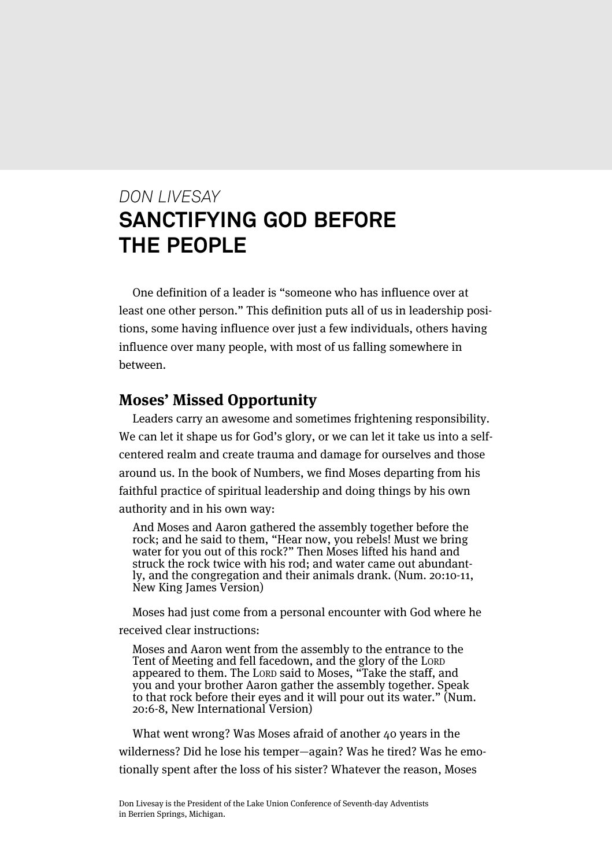# *DON LIVESAY* **SANCTIFYING GOD BEFORE THE PEOPLE**

One definition of a leader is "someone who has influence over at least one other person." This definition puts all of us in leadership positions, some having influence over just a few individuals, others having influence over many people, with most of us falling somewhere in between.

#### **Moses' Missed Opportunity**

Leaders carry an awesome and sometimes frightening responsibility. We can let it shape us for God's glory, or we can let it take us into a selfcentered realm and create trauma and damage for ourselves and those around us. In the book of Numbers, we find Moses departing from his faithful practice of spiritual leadership and doing things by his own authority and in his own way:

And Moses and Aaron gathered the assembly together before the rock; and he said to them, "Hear now, you rebels! Must we bring water for you out of this rock?" Then Moses lifted his hand and struck the rock twice with his rod; and water came out abundantly, and the congregation and their animals drank. (Num. 20:10-11, New King James Version)

Moses had just come from a personal encounter with God where he received clear instructions:

Moses and Aaron went from the assembly to the entrance to the Tent of Meeting and fell facedown, and the glory of the LORD appeared to them. The LORD said to Moses, "Take the staff, and you and your brother Aaron gather the assembly together. Speak to that rock before their eyes and it will pour out its water." (Num. 20:6-8, New International Version)

What went wrong? Was Moses afraid of another 40 years in the wilderness? Did he lose his temper—again? Was he tired? Was he emotionally spent after the loss of his sister? Whatever the reason, Moses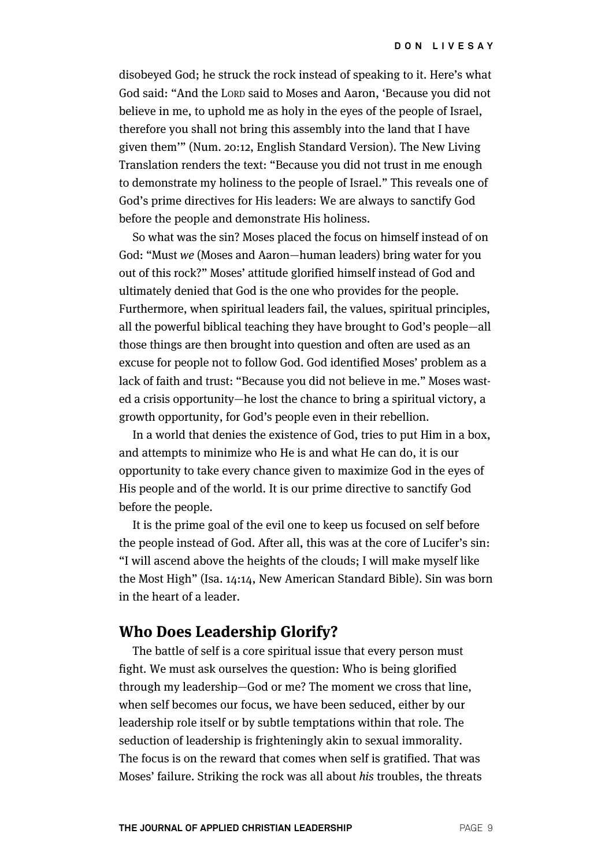disobeyed God; he struck the rock instead of speaking to it. Here's what God said: "And the LORD said to Moses and Aaron, 'Because you did not believe in me, to uphold me as holy in the eyes of the people of Israel, therefore you shall not bring this assembly into the land that I have given them'" (Num. 20:12, English Standard Version). The New Living Translation renders the text: "Because you did not trust in me enough to demonstrate my holiness to the people of Israel." This reveals one of God's prime directives for His leaders: We are always to sanctify God before the people and demonstrate His holiness.

So what was the sin? Moses placed the focus on himself instead of on God: "Must we (Moses and Aaron—human leaders) bring water for you out of this rock?" Moses' attitude glorified himself instead of God and ultimately denied that God is the one who provides for the people. Furthermore, when spiritual leaders fail, the values, spiritual principles, all the powerful biblical teaching they have brought to God's people—all those things are then brought into question and often are used as an excuse for people not to follow God. God identified Moses' problem as a lack of faith and trust: "Because you did not believe in me." Moses wasted a crisis opportunity—he lost the chance to bring a spiritual victory, a growth opportunity, for God's people even in their rebellion.

In a world that denies the existence of God, tries to put Him in a box, and attempts to minimize who He is and what He can do, it is our opportunity to take every chance given to maximize God in the eyes of His people and of the world. It is our prime directive to sanctify God before the people.

It is the prime goal of the evil one to keep us focused on self before the people instead of God. After all, this was at the core of Lucifer's sin: "I will ascend above the heights of the clouds; I will make myself like the Most High" (Isa. 14:14, New American Standard Bible). Sin was born in the heart of a leader.

#### **Who Does Leadership Glorify?**

The battle of self is a core spiritual issue that every person must fight. We must ask ourselves the question: Who is being glorified through my leadership—God or me? The moment we cross that line, when self becomes our focus, we have been seduced, either by our leadership role itself or by subtle temptations within that role. The seduction of leadership is frighteningly akin to sexual immorality. The focus is on the reward that comes when self is gratified. That was Moses' failure. Striking the rock was all about his troubles, the threats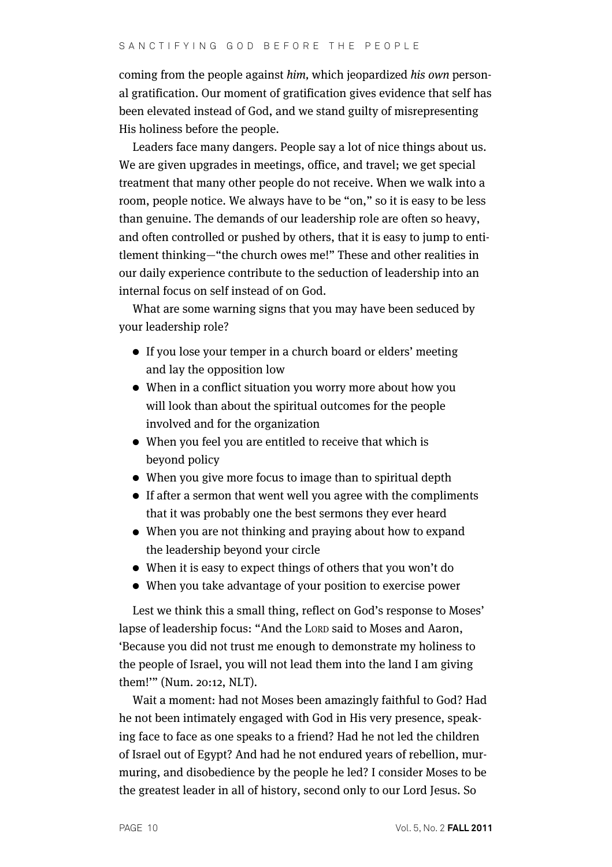coming from the people against him, which jeopardized his own personal gratification. Our moment of gratification gives evidence that self has been elevated instead of God, and we stand guilty of misrepresenting His holiness before the people.

Leaders face many dangers. People say a lot of nice things about us. We are given upgrades in meetings, office, and travel; we get special treatment that many other people do not receive. When we walk into a room, people notice. We always have to be "on," so it is easy to be less than genuine. The demands of our leadership role are often so heavy, and often controlled or pushed by others, that it is easy to jump to entitlement thinking—"the church owes me!" These and other realities in our daily experience contribute to the seduction of leadership into an internal focus on self instead of on God.

What are some warning signs that you may have been seduced by your leadership role?

- If you lose your temper in a church board or elders' meeting and lay the opposition low
- When in a conflict situation you worry more about how you will look than about the spiritual outcomes for the people involved and for the organization
- When you feel you are entitled to receive that which is beyond policy
- When you give more focus to image than to spiritual depth
- If after a sermon that went well you agree with the compliments that it was probably one the best sermons they ever heard
- When you are not thinking and praying about how to expand the leadership beyond your circle
- When it is easy to expect things of others that you won't do
- When you take advantage of your position to exercise power

Lest we think this a small thing, reflect on God's response to Moses' lapse of leadership focus: "And the LORD said to Moses and Aaron, 'Because you did not trust me enough to demonstrate my holiness to the people of Israel, you will not lead them into the land I am giving them!'" (Num. 20:12, NLT).

Wait a moment: had not Moses been amazingly faithful to God? Had he not been intimately engaged with God in His very presence, speaking face to face as one speaks to a friend? Had he not led the children of Israel out of Egypt? And had he not endured years of rebellion, murmuring, and disobedience by the people he led? I consider Moses to be the greatest leader in all of history, second only to our Lord Jesus. So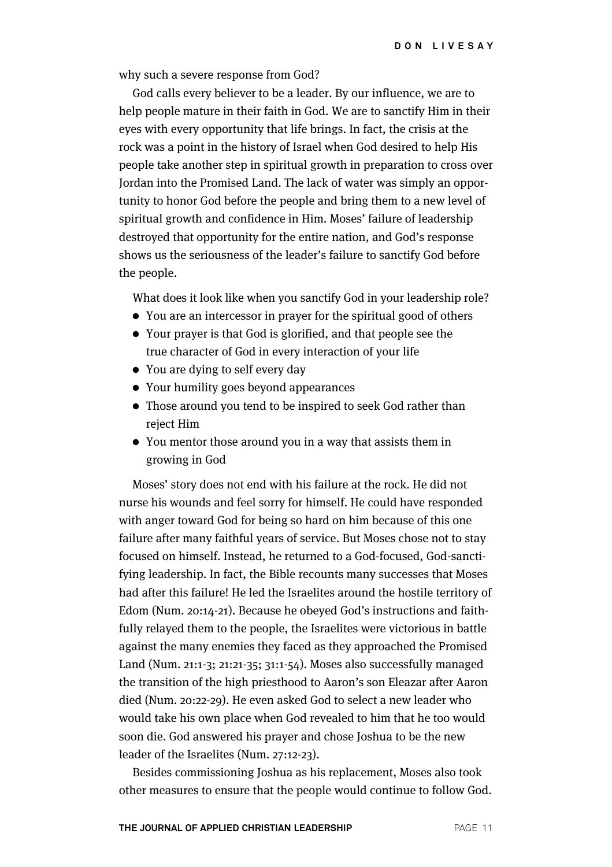why such a severe response from God?

God calls every believer to be a leader. By our influence, we are to help people mature in their faith in God. We are to sanctify Him in their eyes with every opportunity that life brings. In fact, the crisis at the rock was a point in the history of Israel when God desired to help His people take another step in spiritual growth in preparation to cross over Jordan into the Promised Land. The lack of water was simply an opportunity to honor God before the people and bring them to a new level of spiritual growth and confidence in Him. Moses' failure of leadership destroyed that opportunity for the entire nation, and God's response shows us the seriousness of the leader's failure to sanctify God before the people.

What does it look like when you sanctify God in your leadership role?

- You are an intercessor in prayer for the spiritual good of others
- Your prayer is that God is glorified, and that people see the true character of God in every interaction of your life
- You are dying to self every day
- Your humility goes beyond appearances
- Those around you tend to be inspired to seek God rather than reject Him
- You mentor those around you in a way that assists them in growing in God

Moses' story does not end with his failure at the rock. He did not nurse his wounds and feel sorry for himself. He could have responded with anger toward God for being so hard on him because of this one failure after many faithful years of service. But Moses chose not to stay focused on himself. Instead, he returned to a God-focused, God-sanctifying leadership. In fact, the Bible recounts many successes that Moses had after this failure! He led the Israelites around the hostile territory of Edom (Num. 20:14-21). Because he obeyed God's instructions and faithfully relayed them to the people, the Israelites were victorious in battle against the many enemies they faced as they approached the Promised Land (Num. 21:1-3; 21:21-35; 31:1-54). Moses also successfully managed the transition of the high priesthood to Aaron's son Eleazar after Aaron died (Num. 20:22-29). He even asked God to select a new leader who would take his own place when God revealed to him that he too would soon die. God answered his prayer and chose Joshua to be the new leader of the Israelites (Num. 27:12-23).

Besides commissioning Joshua as his replacement, Moses also took other measures to ensure that the people would continue to follow God.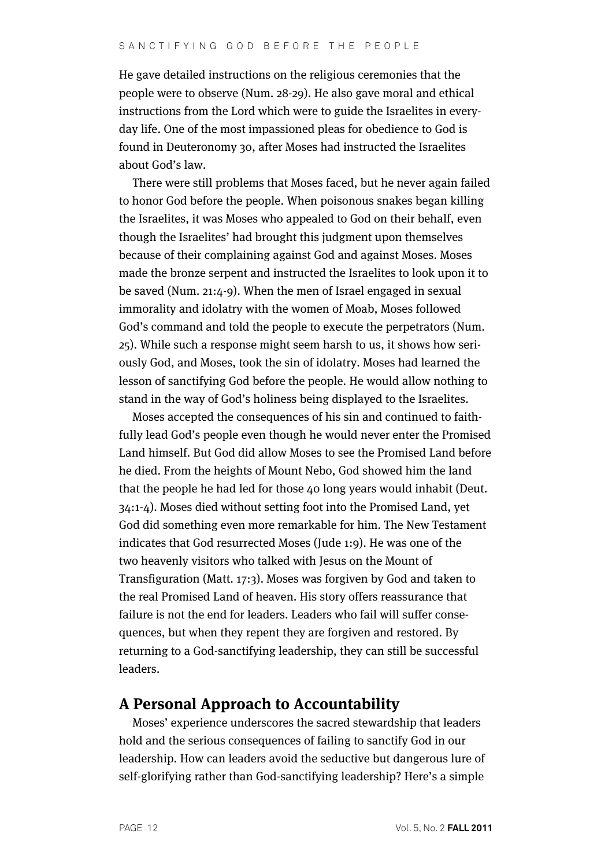He gave detailed instructions on the religious ceremonies that the people were to observe (Num. 28-29). He also gave moral and ethical instructions from the Lord which were to guide the Israelites in everyday life. One of the most impassioned pleas for obedience to God is found in Deuteronomy 30, after Moses had instructed the Israelites about God's law.

There were still problems that Moses faced, but he never again failed to honor God before the people. When poisonous snakes began killing the Israelites, it was Moses who appealed to God on their behalf, even though the Israelites' had brought this judgment upon themselves because of their complaining against God and against Moses. Moses made the bronze serpent and instructed the Israelites to look upon it to be saved (Num. 21:4-9). When the men of Israel engaged in sexual immorality and idolatry with the women of Moab, Moses followed God's command and told the people to execute the perpetrators (Num. 25). While such a response might seem harsh to us, it shows how seriously God, and Moses, took the sin of idolatry. Moses had learned the lesson of sanctifying God before the people. He would allow nothing to stand in the way of God's holiness being displayed to the Israelites.

Moses accepted the consequences of his sin and continued to faithfully lead God's people even though he would never enter the Promised Land himself. But God did allow Moses to see the Promised Land before he died. From the heights of Mount Nebo, God showed him the land that the people he had led for those 40 long years would inhabit (Deut. 34:1-4). Moses died without setting foot into the Promised Land, yet God did something even more remarkable for him. The New Testament indicates that God resurrected Moses (Jude 1:9). He was one of the two heavenly visitors who talked with Jesus on the Mount of Transfiguration (Matt. 17:3). Moses was forgiven by God and taken to the real Promised Land of heaven. His story offers reassurance that failure is not the end for leaders. Leaders who fail will suffer consequences, but when they repent they are forgiven and restored. By returning to a God-sanctifying leadership, they can still be successful leaders.

### **A Personal Approach to Accountability**

Moses' experience underscores the sacred stewardship that leaders hold and the serious consequences of failing to sanctify God in our leadership. How can leaders avoid the seductive but dangerous lure of self-glorifying rather than God-sanctifying leadership? Here's a simple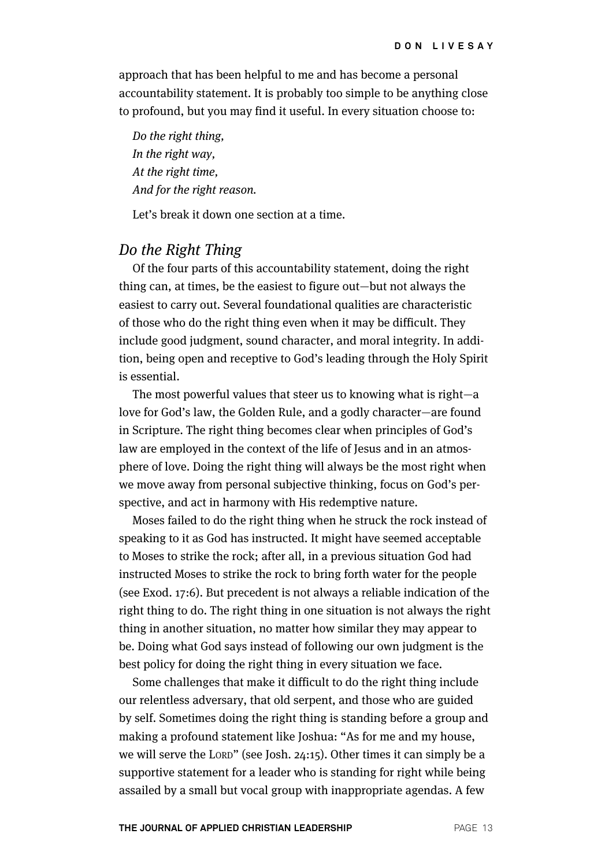approach that has been helpful to me and has become a personal accountability statement. It is probably too simple to be anything close to profound, but you may find it useful. In every situation choose to:

Do the right thing, In the right way, At the right time, And for the right reason.

Let's break it down one section at a time.

### Do the Right Thing

Of the four parts of this accountability statement, doing the right thing can, at times, be the easiest to figure out—but not always the easiest to carry out. Several foundational qualities are characteristic of those who do the right thing even when it may be difficult. They include good judgment, sound character, and moral integrity. In addition, being open and receptive to God's leading through the Holy Spirit is essential.

The most powerful values that steer us to knowing what is right—a love for God's law, the Golden Rule, and a godly character—are found in Scripture. The right thing becomes clear when principles of God's law are employed in the context of the life of Jesus and in an atmosphere of love. Doing the right thing will always be the most right when we move away from personal subjective thinking, focus on God's perspective, and act in harmony with His redemptive nature.

Moses failed to do the right thing when he struck the rock instead of speaking to it as God has instructed. It might have seemed acceptable to Moses to strike the rock; after all, in a previous situation God had instructed Moses to strike the rock to bring forth water for the people (see Exod. 17:6). But precedent is not always a reliable indication of the right thing to do. The right thing in one situation is not always the right thing in another situation, no matter how similar they may appear to be. Doing what God says instead of following our own judgment is the best policy for doing the right thing in every situation we face.

Some challenges that make it difficult to do the right thing include our relentless adversary, that old serpent, and those who are guided by self. Sometimes doing the right thing is standing before a group and making a profound statement like Joshua: "As for me and my house, we will serve the LORD" (see Josh. 24:15). Other times it can simply be a supportive statement for a leader who is standing for right while being assailed by a small but vocal group with inappropriate agendas. A few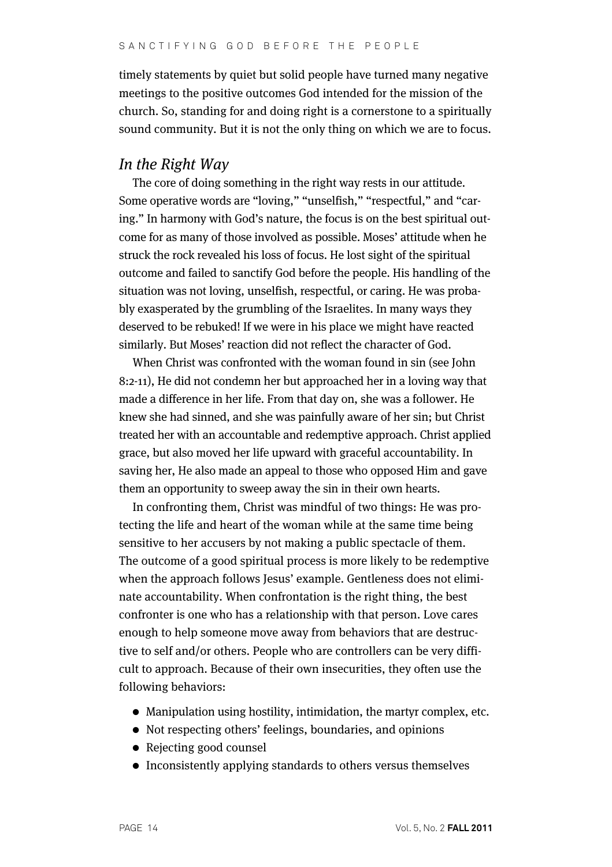timely statements by quiet but solid people have turned many negative meetings to the positive outcomes God intended for the mission of the church. So, standing for and doing right is a cornerstone to a spiritually sound community. But it is not the only thing on which we are to focus.

#### In the Right Way

The core of doing something in the right way rests in our attitude. Some operative words are "loving," "unselfish," "respectful," and "caring." In harmony with God's nature, the focus is on the best spiritual outcome for as many of those involved as possible. Moses' attitude when he struck the rock revealed his loss of focus. He lost sight of the spiritual outcome and failed to sanctify God before the people. His handling of the situation was not loving, unselfish, respectful, or caring. He was probably exasperated by the grumbling of the Israelites. In many ways they deserved to be rebuked! If we were in his place we might have reacted similarly. But Moses' reaction did not reflect the character of God.

When Christ was confronted with the woman found in sin (see John 8:2-11), He did not condemn her but approached her in a loving way that made a difference in her life. From that day on, she was a follower. He knew she had sinned, and she was painfully aware of her sin; but Christ treated her with an accountable and redemptive approach. Christ applied grace, but also moved her life upward with graceful accountability. In saving her, He also made an appeal to those who opposed Him and gave them an opportunity to sweep away the sin in their own hearts.

In confronting them, Christ was mindful of two things: He was protecting the life and heart of the woman while at the same time being sensitive to her accusers by not making a public spectacle of them. The outcome of a good spiritual process is more likely to be redemptive when the approach follows Jesus' example. Gentleness does not eliminate accountability. When confrontation is the right thing, the best confronter is one who has a relationship with that person. Love cares enough to help someone move away from behaviors that are destructive to self and/or others. People who are controllers can be very difficult to approach. Because of their own insecurities, they often use the following behaviors:

- Manipulation using hostility, intimidation, the martyr complex, etc.
- Not respecting others' feelings, boundaries, and opinions
- Rejecting good counsel
- Inconsistently applying standards to others versus themselves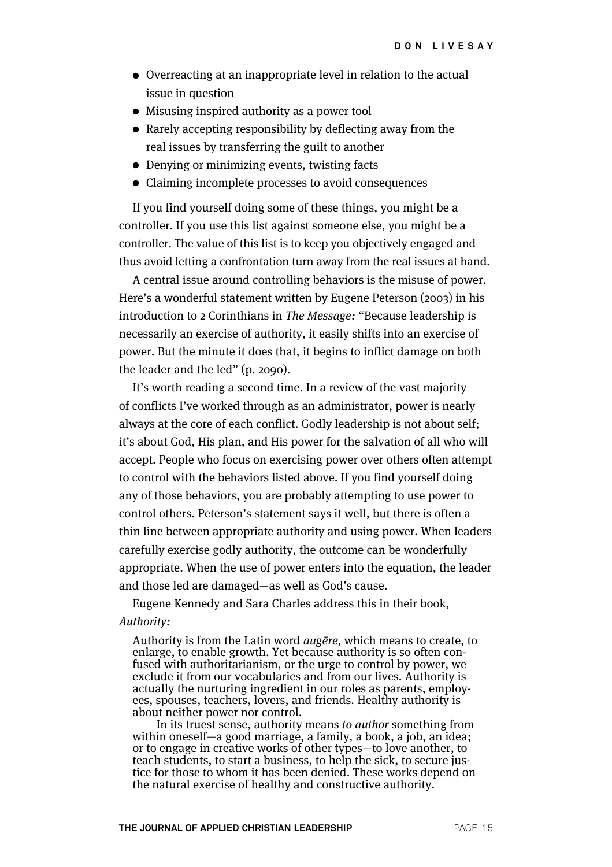- Overreacting at an inappropriate level in relation to the actual issue in question
- Misusing inspired authority as a power tool
- Rarely accepting responsibility by deflecting away from the real issues by transferring the guilt to another
- Denying or minimizing events, twisting facts
- Claiming incomplete processes to avoid consequences

If you find yourself doing some of these things, you might be a controller. If you use this list against someone else, you might be a controller. The value of this list is to keep you objectively engaged and thus avoid letting a confrontation turn away from the real issues at hand.

A central issue around controlling behaviors is the misuse of power. Here's a wonderful statement written by Eugene Peterson (2003) in his introduction to 2 Corinthians in The Message: "Because leadership is necessarily an exercise of authority, it easily shifts into an exercise of power. But the minute it does that, it begins to inflict damage on both the leader and the led" (p. 2090).

It's worth reading a second time. In a review of the vast majority of conflicts I've worked through as an administrator, power is nearly always at the core of each conflict. Godly leadership is not about self; it's about God, His plan, and His power for the salvation of all who will accept. People who focus on exercising power over others often attempt to control with the behaviors listed above. If you find yourself doing any of those behaviors, you are probably attempting to use power to control others. Peterson's statement says it well, but there is often a thin line between appropriate authority and using power. When leaders carefully exercise godly authority, the outcome can be wonderfully appropriate. When the use of power enters into the equation, the leader and those led are damaged—as well as God's cause.

Eugene Kennedy and Sara Charles address this in their book, Authority:

Authority is from the Latin word augēre, which means to create, to enlarge, to enable growth. Yet because authority is so often confused with authoritarianism, or the urge to control by power, we exclude it from our vocabularies and from our lives. Authority is actually the nurturing ingredient in our roles as parents, employees, spouses, teachers, lovers, and friends. Healthy authority is about neither power nor control.

In its truest sense, authority means to author something from within oneself—a good marriage, a family, a book, a job, an idea; or to engage in creative works of other types—to love another, to teach students, to start a business, to help the sick, to secure justice for those to whom it has been denied. These works depend on the natural exercise of healthy and constructive authority.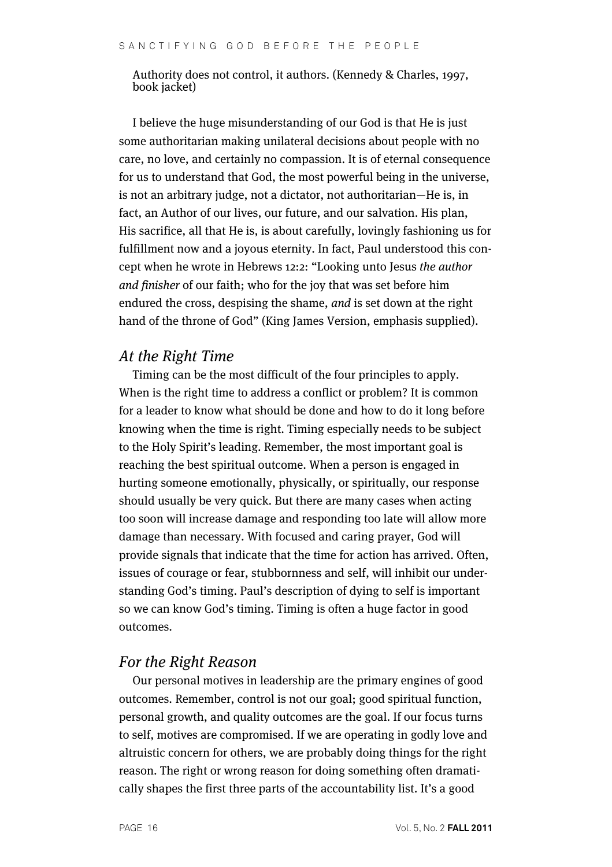Authority does not control, it authors. (Kennedy & Charles, 1997, book jacket)

I believe the huge misunderstanding of our God is that He is just some authoritarian making unilateral decisions about people with no care, no love, and certainly no compassion. It is of eternal consequence for us to understand that God, the most powerful being in the universe, is not an arbitrary judge, not a dictator, not authoritarian—He is, in fact, an Author of our lives, our future, and our salvation. His plan, His sacrifice, all that He is, is about carefully, lovingly fashioning us for fulfillment now and a joyous eternity. In fact, Paul understood this concept when he wrote in Hebrews 12:2: "Looking unto Jesus the author and finisher of our faith; who for the joy that was set before him endured the cross, despising the shame, and is set down at the right hand of the throne of God" (King James Version, emphasis supplied).

## At the Right Time

Timing can be the most difficult of the four principles to apply. When is the right time to address a conflict or problem? It is common for a leader to know what should be done and how to do it long before knowing when the time is right. Timing especially needs to be subject to the Holy Spirit's leading. Remember, the most important goal is reaching the best spiritual outcome. When a person is engaged in hurting someone emotionally, physically, or spiritually, our response should usually be very quick. But there are many cases when acting too soon will increase damage and responding too late will allow more damage than necessary. With focused and caring prayer, God will provide signals that indicate that the time for action has arrived. Often, issues of courage or fear, stubbornness and self, will inhibit our understanding God's timing. Paul's description of dying to self is important so we can know God's timing. Timing is often a huge factor in good outcomes.

# For the Right Reason

Our personal motives in leadership are the primary engines of good outcomes. Remember, control is not our goal; good spiritual function, personal growth, and quality outcomes are the goal. If our focus turns to self, motives are compromised. If we are operating in godly love and altruistic concern for others, we are probably doing things for the right reason. The right or wrong reason for doing something often dramatically shapes the first three parts of the accountability list. It's a good